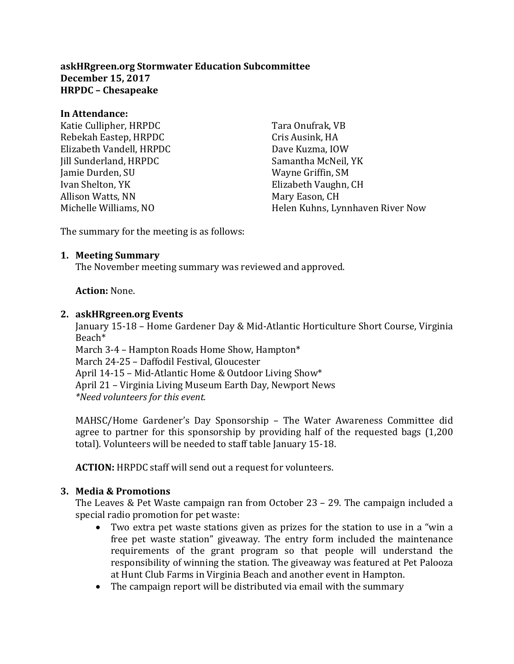**askHRgreen.org Stormwater Education Subcommittee December 15, 2017 HRPDC – Chesapeake** 

#### **In Attendance:**

Katie Cullipher, HRPDC Rebekah Eastep, HRPDC Elizabeth Vandell, HRPDC Jill Sunderland, HRPDC Jamie Durden, SU Ivan Shelton, YK Allison Watts, NN Michelle Williams, NO

Tara Onufrak, VB Cris Ausink, HA Dave Kuzma, IOW Samantha McNeil, YK Wayne Griffin, SM Elizabeth Vaughn, CH Mary Eason, CH Helen Kuhns, Lynnhaven River Now

The summary for the meeting is as follows:

### **1. Meeting Summary**

The November meeting summary was reviewed and approved.

### **Action:** None.

#### **2. askHRgreen.org Events**

January 15-18 – Home Gardener Day & Mid-Atlantic Horticulture Short Course, Virginia Beach\*

March 3-4 – Hampton Roads Home Show, Hampton\* March 24-25 – Daffodil Festival, Gloucester April 14-15 – Mid-Atlantic Home & Outdoor Living Show\* April 21 – Virginia Living Museum Earth Day, Newport News *\*Need volunteers for this event.*

MAHSC/Home Gardener's Day Sponsorship – The Water Awareness Committee did agree to partner for this sponsorship by providing half of the requested bags (1,200 total). Volunteers will be needed to staff table January 15-18.

**ACTION:** HRPDC staff will send out a request for volunteers.

### **3. Media & Promotions**

The Leaves & Pet Waste campaign ran from October 23 – 29. The campaign included a special radio promotion for pet waste:

- Two extra pet waste stations given as prizes for the station to use in a "win a free pet waste station" giveaway. The entry form included the maintenance requirements of the grant program so that people will understand the responsibility of winning the station. The giveaway was featured at Pet Palooza at Hunt Club Farms in Virginia Beach and another event in Hampton.
- The campaign report will be distributed via email with the summary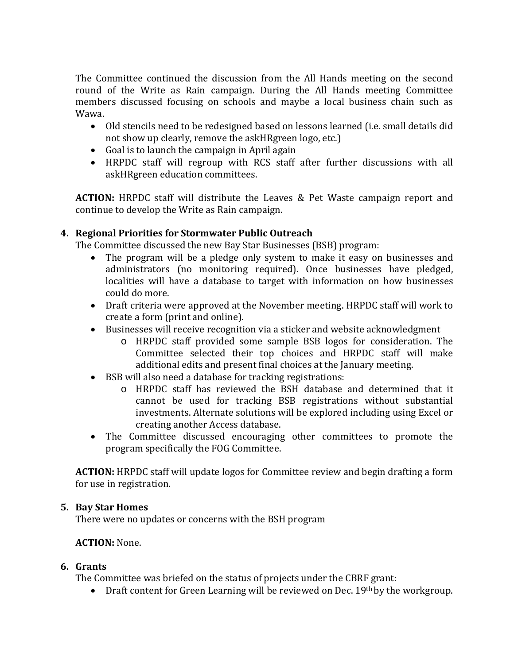The Committee continued the discussion from the All Hands meeting on the second round of the Write as Rain campaign. During the All Hands meeting Committee members discussed focusing on schools and maybe a local business chain such as Wawa.

- Old stencils need to be redesigned based on lessons learned (i.e. small details did not show up clearly, remove the askHRgreen logo, etc.)
- Goal is to launch the campaign in April again
- HRPDC staff will regroup with RCS staff after further discussions with all askHRgreen education committees.

**ACTION:** HRPDC staff will distribute the Leaves & Pet Waste campaign report and continue to develop the Write as Rain campaign.

# **4. Regional Priorities for Stormwater Public Outreach**

The Committee discussed the new Bay Star Businesses (BSB) program:

- The program will be a pledge only system to make it easy on businesses and administrators (no monitoring required). Once businesses have pledged, localities will have a database to target with information on how businesses could do more.
- Draft criteria were approved at the November meeting. HRPDC staff will work to create a form (print and online).
- Businesses will receive recognition via a sticker and website acknowledgment
	- o HRPDC staff provided some sample BSB logos for consideration. The Committee selected their top choices and HRPDC staff will make additional edits and present final choices at the January meeting.
- BSB will also need a database for tracking registrations:
	- o HRPDC staff has reviewed the BSH database and determined that it cannot be used for tracking BSB registrations without substantial investments. Alternate solutions will be explored including using Excel or creating another Access database.
- The Committee discussed encouraging other committees to promote the program specifically the FOG Committee.

**ACTION:** HRPDC staff will update logos for Committee review and begin drafting a form for use in registration.

### **5. Bay Star Homes**

There were no updates or concerns with the BSH program

### **ACTION:** None.

# **6. Grants**

The Committee was briefed on the status of projects under the CBRF grant:

• Draft content for Green Learning will be reviewed on Dec.  $19<sup>th</sup>$  by the workgroup.